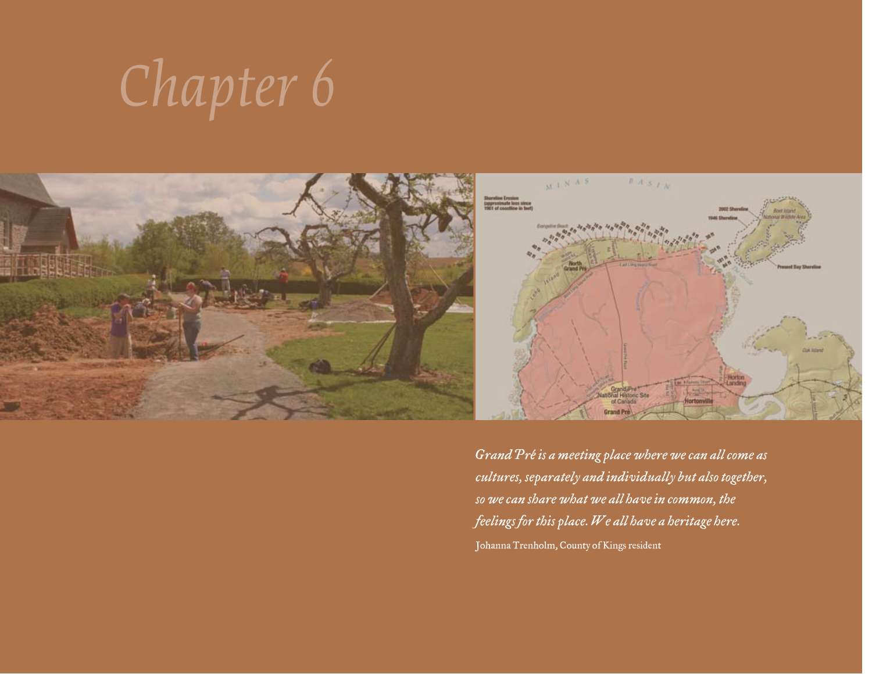# *Chapter 6*



*Grand Pré is a meeting place where we can all come as cultures, separately and individually but also together, so we can share what we all have in common, the feelings for this place. We all have a heritage here.*  Johanna Trenholm, County of Kings resident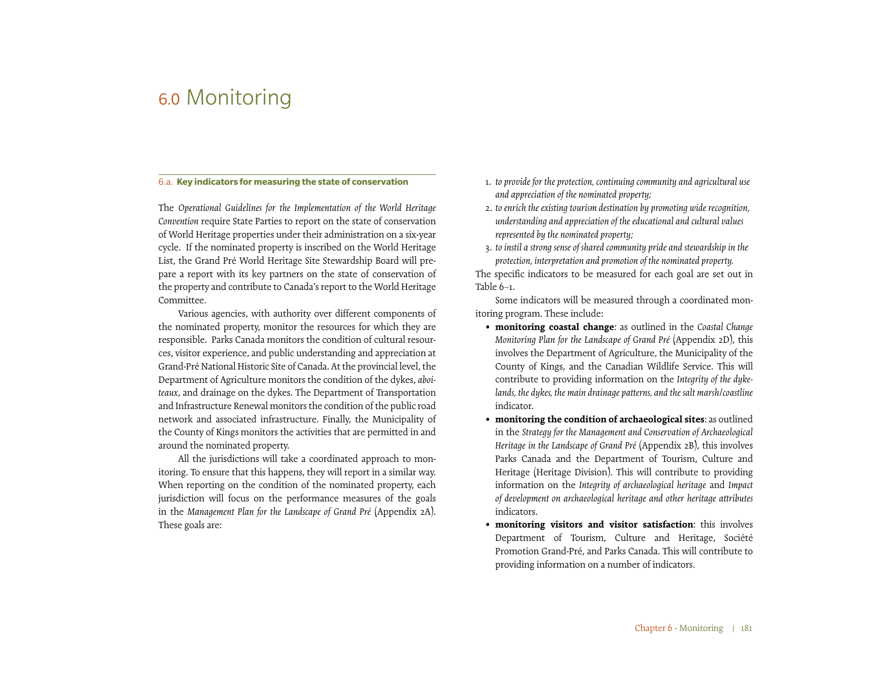# 6.0 Monitoring

#### 6.a. **Key indicators for measuring the state of conservation**

The *Operational Guidelines for the Implementation of the World Heritage Convention* require State Parties to report on the state of conservation of World Heritage properties under their administration on a six-year cycle. If the nominated property is inscribed on the World Heritage List, the Grand Pré World Heritage Site Stewardship Board will prepare a report with its key partners on the state of conservation of the property and contribute to Canada's report to the World Heritage Committee.

Various agencies, with authority over different components of the nominated property, monitor the resources for which they are responsible. Parks Canada monitors the condition of cultural resources, visitor experience, and public understanding and appreciation at Grand-Pré National Historic Site of Canada. At the provincial level, the Department of Agriculture monitors the condition of the dykes, *aboiteaux*, and drainage on the dykes. The Department of Transportation and Infrastructure Renewal monitors the condition of the public road network and associated infrastructure. Finally, the Municipality of the County of Kings monitors the activities that are permitted in and around the nominated property.

All the jurisdictions will take a coordinated approach to monitoring. To ensure that this happens, they will report in a similar way. When reporting on the condition of the nominated property, each jurisdiction will focus on the performance measures of the goals in the *Management Plan for the Landscape of Grand Pré* (Appendix 2A). These goals are:

- 1. *to provide for the protection, continuing community and agricultural use and appreciation of the nominated property;*
- 2. *to enrich the existing tourism destination by promoting wide recognition, understanding and appreciation of the educational and cultural values represented by the nominated property;*
- 3. *to instil a strong sense of shared community pride and stewardship in the protection, interpretation and promotion of the nominated property.*

The specific indicators to be measured for each goal are set out in Table 6–1.

Some indicators will be measured through a coordinated monitoring program. These include:

- **monitoring coastal change**: as outlined in the *Coastal Change Monitoring Plan for the Landscape of Grand Pré* (Appendix 2D), this involves the Department of Agriculture, the Municipality of the County of Kings, and the Canadian Wildlife Service. This will contribute to providing information on the *Integrity of the dykelands, the dykes, the main drainage patterns, and the salt marsh/coastline* indicator.
- **monitoring the condition of archaeological sites**: as outlined in the *Strategy for the Management and Conservation of Archaeological Heritage in the Landscape of Grand Pré* (Appendix 2B), this involves Parks Canada and the Department of Tourism, Culture and Heritage (Heritage Division). This will contribute to providing information on the *Integrity of archaeological heritage* and *Impact of development on archaeological heritage and other heritage attributes* indicators.
- **monitoring visitors and visitor satisfaction**: this involves Department of Tourism, Culture and Heritage, Société Promotion Grand-Pré, and Parks Canada. This will contribute to providing information on a number of indicators.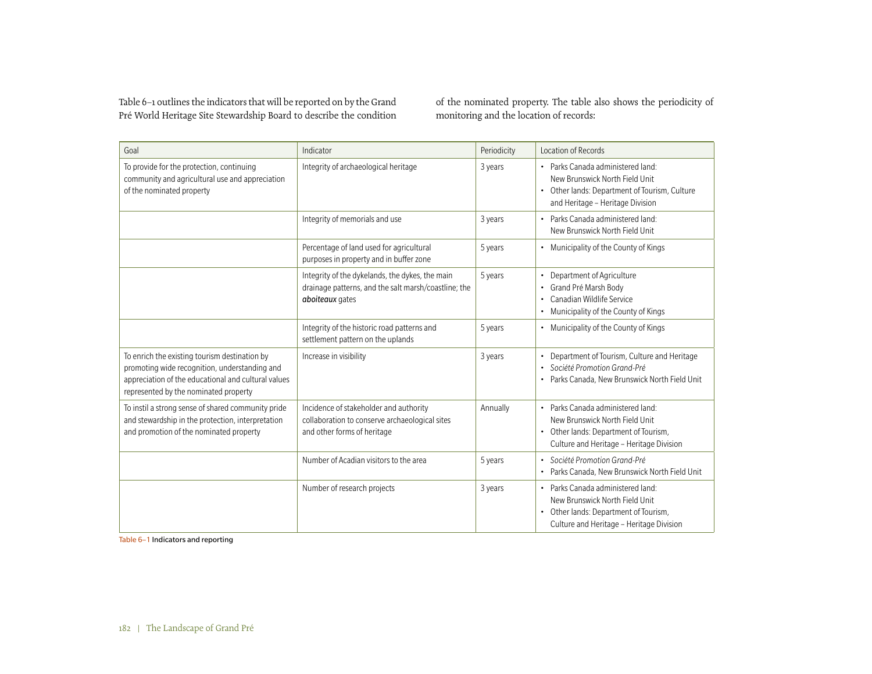Table 6–1 outlines the indicators that will be reported on by the Grand Pré World Heritage Site Stewardship Board to describe the condition of the nominated property. The table also shows the periodicity of monitoring and the location of records:

| Goal                                                                                                                                                                                           | Indicator                                                                                                                  | Periodicity | Location of Records                                                                                                                                                            |
|------------------------------------------------------------------------------------------------------------------------------------------------------------------------------------------------|----------------------------------------------------------------------------------------------------------------------------|-------------|--------------------------------------------------------------------------------------------------------------------------------------------------------------------------------|
| To provide for the protection, continuing<br>community and agricultural use and appreciation<br>of the nominated property                                                                      | Integrity of archaeological heritage                                                                                       | 3 years     | • Parks Canada administered land:<br>New Brunswick North Field Unit<br>• Other lands: Department of Tourism, Culture<br>and Heritage - Heritage Division                       |
|                                                                                                                                                                                                | Integrity of memorials and use                                                                                             | 3 years     | Parks Canada administered land:<br>$\bullet$<br>New Brunswick North Field Unit                                                                                                 |
|                                                                                                                                                                                                | Percentage of land used for agricultural<br>purposes in property and in buffer zone                                        | 5 years     | • Municipality of the County of Kings                                                                                                                                          |
|                                                                                                                                                                                                | Integrity of the dykelands, the dykes, the main<br>drainage patterns, and the salt marsh/coastline; the<br>aboiteaux gates | 5 years     | Department of Agriculture<br>Grand Pré Marsh Body<br>٠<br>Canadian Wildlife Service<br>٠<br>Municipality of the County of Kings                                                |
|                                                                                                                                                                                                | Integrity of the historic road patterns and<br>settlement pattern on the uplands                                           | 5 years     | Municipality of the County of Kings<br>٠                                                                                                                                       |
| To enrich the existing tourism destination by<br>promoting wide recognition, understanding and<br>appreciation of the educational and cultural values<br>represented by the nominated property | Increase in visibility                                                                                                     | 3 years     | Department of Tourism, Culture and Heritage<br>Société Promotion Grand-Pré<br>$\bullet$<br>Parks Canada, New Brunswick North Field Unit                                        |
| To instil a strong sense of shared community pride<br>and stewardship in the protection, interpretation<br>and promotion of the nominated property                                             | Incidence of stakeholder and authority<br>collaboration to conserve archaeological sites<br>and other forms of heritage    | Annually    | Parks Canada administered land:<br>$\bullet$<br>New Brunswick North Field Unit<br>Other lands: Department of Tourism,<br>$\bullet$<br>Culture and Heritage - Heritage Division |
|                                                                                                                                                                                                | Number of Acadian visitors to the area                                                                                     | 5 years     | · Société Promotion Grand-Pré<br>Parks Canada, New Brunswick North Field Unit                                                                                                  |
|                                                                                                                                                                                                | Number of research projects                                                                                                | 3 years     | Parks Canada administered land:<br>$\bullet$<br>New Brunswick North Field Unit<br>Other lands: Department of Tourism,<br>$\bullet$<br>Culture and Heritage - Heritage Division |

Table 6–1 Indicators and reporting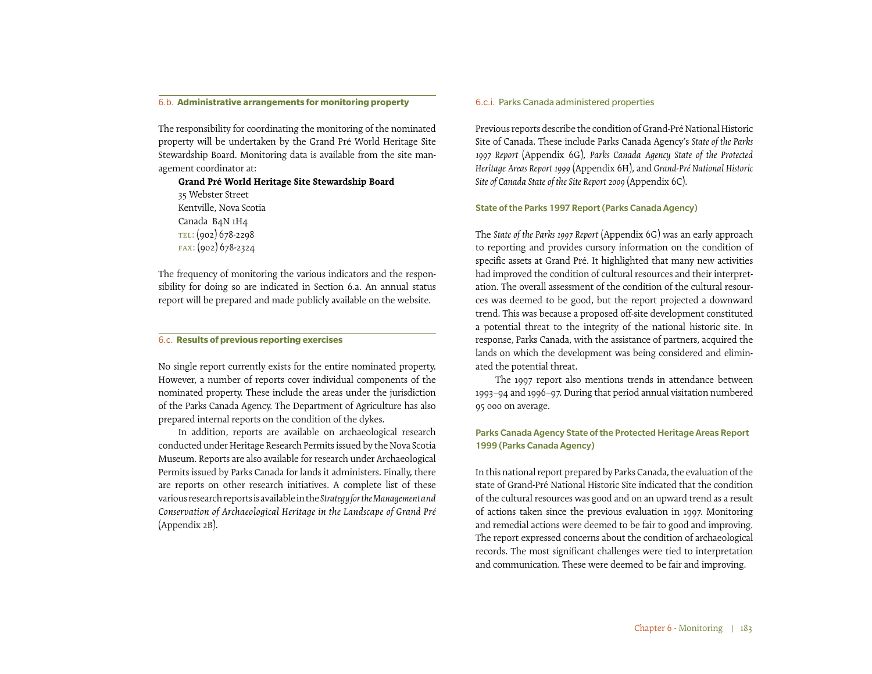#### 6.b. **Administrative arrangements for monitoring property**

The responsibility for coordinating the monitoring of the nominated property will be undertaken by the Grand Pré World Heritage Site Stewardship Board. Monitoring data is available from the site management coordinator at:

**Grand Pré World Heritage Site Stewardship Board** 35 Webster Street Kentville, Nova Scotia Canada B4N 1H4 TEL: (902) 678-2298 fax: (902) 678-2324

The frequency of monitoring the various indicators and the responsibility for doing so are indicated in Section 6.a. An annual status report will be prepared and made publicly available on the website.

### 6.c. **Results of previous reporting exercises**

No single report currently exists for the entire nominated property. However, a number of reports cover individual components of the nominated property. These include the areas under the jurisdiction of the Parks Canada Agency. The Department of Agriculture has also prepared internal reports on the condition of the dykes.

In addition, reports are available on archaeological research conducted under Heritage Research Permits issued by the Nova Scotia Museum. Reports are also available for research under Archaeological Permits issued by Parks Canada for lands it administers. Finally, there are reports on other research initiatives. A complete list of these various research reports is available in the *Strategy for the Management and Conservation of Archaeological Heritage in the Landscape of Grand Pré*  (Appendix 2B).

#### 6.c.i. Parks Canada administered properties

Previous reports describe the condition of Grand-Pré National Historic Site of Canada. These include Parks Canada Agency's *State of the Parks 1997 Report* (Appendix 6G), *Parks Canada Agency State of the Protected Heritage Areas Report 1999* (Appendix 6H), and *Grand-Pré National Historic Site of Canada State of the Site Report 2009* (Appendix 6C).

#### State of the Parks 1997 Report (Parks Canada Agency)

The *State of the Parks 1997 Report* (Appendix 6G) was an early approach to reporting and provides cursory information on the condition of specific assets at Grand Pré. It highlighted that many new activities had improved the condition of cultural resources and their interpretation. The overall assessment of the condition of the cultural resources was deemed to be good, but the report projected a downward trend. This was because a proposed off-site development constituted a potential threat to the integrity of the national historic site. In response, Parks Canada, with the assistance of partners, acquired the lands on which the development was being considered and eliminated the potential threat.

The 1997 report also mentions trends in attendance between 1993–94 and 1996–97. During that period annual visitation numbered 95 000 on average.

## Parks Canada Agency State of the Protected Heritage Areas Report 1999 (Parks Canada Agency)

In this national report prepared by Parks Canada, the evaluation of the state of Grand-Pré National Historic Site indicated that the condition of the cultural resources was good and on an upward trend as a result of actions taken since the previous evaluation in 1997. Monitoring and remedial actions were deemed to be fair to good and improving. The report expressed concerns about the condition of archaeological records. The most significant challenges were tied to interpretation and communication. These were deemed to be fair and improving.